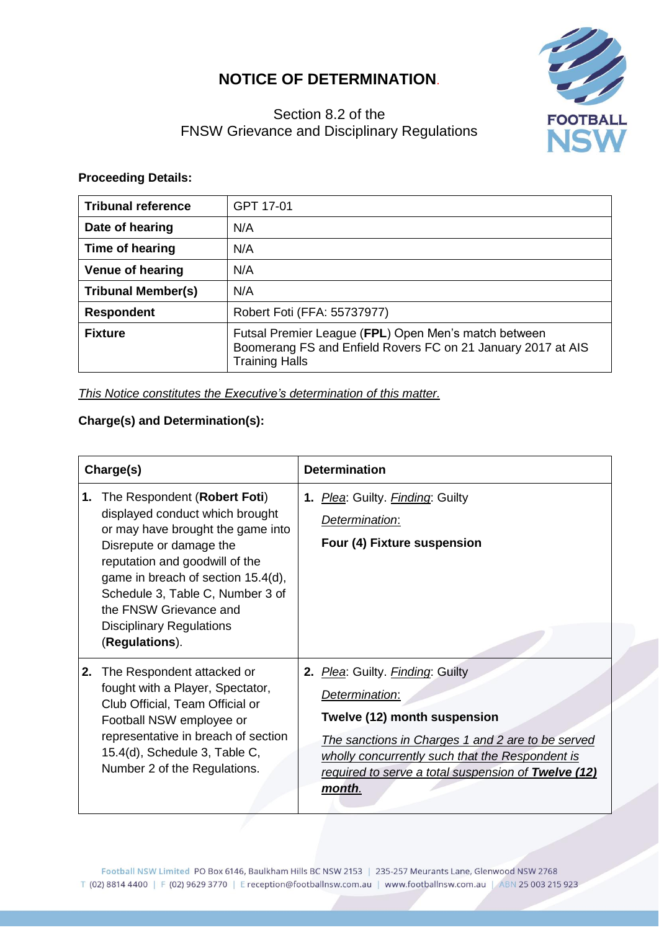## **NOTICE OF DETERMINATION**.



## Section 8.2 of the FNSW Grievance and Disciplinary Regulations

## **Proceeding Details:**

| <b>Tribunal reference</b> | GPT 17-01                                                                                                                                     |  |
|---------------------------|-----------------------------------------------------------------------------------------------------------------------------------------------|--|
| Date of hearing           | N/A                                                                                                                                           |  |
| Time of hearing           | N/A                                                                                                                                           |  |
| <b>Venue of hearing</b>   | N/A                                                                                                                                           |  |
| <b>Tribunal Member(s)</b> | N/A                                                                                                                                           |  |
| <b>Respondent</b>         | Robert Foti (FFA: 55737977)                                                                                                                   |  |
| <b>Fixture</b>            | Futsal Premier League (FPL) Open Men's match between<br>Boomerang FS and Enfield Rovers FC on 21 January 2017 at AIS<br><b>Training Halls</b> |  |

*This Notice constitutes the Executive's determination of this matter.*

## **Charge(s) and Determination(s):**

| Charge(s) |                                                                                                                                                                                                                                                                                                                            | <b>Determination</b>                                                                                                                                                                                                                                               |  |
|-----------|----------------------------------------------------------------------------------------------------------------------------------------------------------------------------------------------------------------------------------------------------------------------------------------------------------------------------|--------------------------------------------------------------------------------------------------------------------------------------------------------------------------------------------------------------------------------------------------------------------|--|
| 1.        | The Respondent (Robert Foti)<br>displayed conduct which brought<br>or may have brought the game into<br>Disrepute or damage the<br>reputation and goodwill of the<br>game in breach of section 15.4(d),<br>Schedule 3, Table C, Number 3 of<br>the FNSW Grievance and<br><b>Disciplinary Regulations</b><br>(Regulations). | 1. <i>Plea</i> : Guilty. <i>Finding</i> : Guilty<br>Determination:<br>Four (4) Fixture suspension                                                                                                                                                                  |  |
| 2.        | The Respondent attacked or<br>fought with a Player, Spectator,<br>Club Official, Team Official or<br>Football NSW employee or<br>representative in breach of section<br>15.4(d), Schedule 3, Table C,<br>Number 2 of the Regulations.                                                                                      | 2. Plea: Guilty. Finding: Guilty<br><u>Determination:</u><br>Twelve (12) month suspension<br>The sanctions in Charges 1 and 2 are to be served<br>wholly concurrently such that the Respondent is<br>required to serve a total suspension of Twelve (12)<br>month. |  |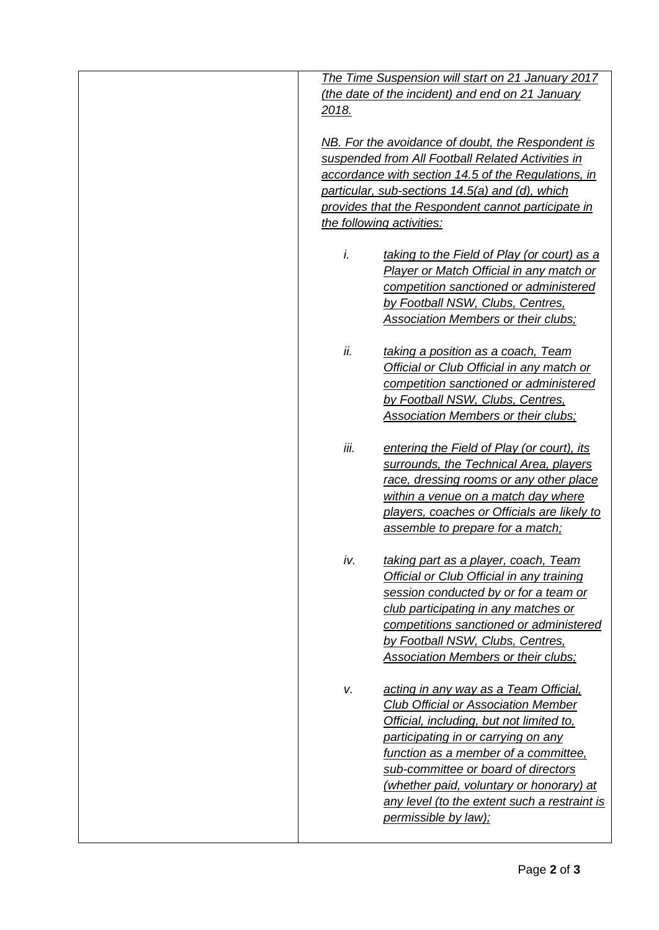| The Time Suspension will start on 21 January 2017   |                                                    |  |
|-----------------------------------------------------|----------------------------------------------------|--|
|                                                     | (the date of the incident) and end on 21 January   |  |
| 2018.                                               |                                                    |  |
| NB. For the avoidance of doubt, the Respondent is   |                                                    |  |
|                                                     | suspended from All Football Related Activities in  |  |
| accordance with section 14.5 of the Regulations, in |                                                    |  |
|                                                     | particular, sub-sections 14.5(a) and (d), which    |  |
|                                                     | provides that the Respondent cannot participate in |  |
| the following activities:                           |                                                    |  |
|                                                     |                                                    |  |
| i.                                                  | taking to the Field of Play (or court) as a        |  |
|                                                     | Player or Match Official in any match or           |  |
|                                                     | competition sanctioned or administered             |  |
|                                                     | by Football NSW, Clubs, Centres,                   |  |
|                                                     | <b>Association Members or their clubs;</b>         |  |
| ii.                                                 | taking a position as a coach, Team                 |  |
|                                                     | Official or Club Official in any match or          |  |
|                                                     | competition sanctioned or administered             |  |
|                                                     | by Football NSW, Clubs, Centres,                   |  |
|                                                     | <b>Association Members or their clubs;</b>         |  |
|                                                     |                                                    |  |
| iii.                                                | entering the Field of Play (or court), its         |  |
|                                                     | surrounds, the Technical Area, players             |  |
|                                                     | race, dressing rooms or any other place            |  |
|                                                     | within a venue on a match day where                |  |
|                                                     | players, coaches or Officials are likely to        |  |
|                                                     | assemble to prepare for a match;                   |  |
| iv.                                                 | taking part as a player, coach, Team               |  |
|                                                     | Official or Club Official in any training          |  |
|                                                     | session conducted by or for a team or              |  |
|                                                     | club participating in any matches or               |  |
|                                                     | competitions sanctioned or administered            |  |
|                                                     | by Football NSW, Clubs, Centres,                   |  |
|                                                     | <b>Association Members or their clubs;</b>         |  |
|                                                     |                                                    |  |
| v.                                                  | acting in any way as a Team Official,              |  |
|                                                     | <b>Club Official or Association Member</b>         |  |
|                                                     | Official, including, but not limited to,           |  |
|                                                     | participating in or carrying on any                |  |
|                                                     | function as a member of a committee,               |  |
|                                                     | sub-committee or board of directors                |  |
|                                                     | (whether paid, voluntary or honorary) at           |  |
|                                                     | any level (to the extent such a restraint is       |  |
|                                                     | permissible by law);                               |  |
|                                                     |                                                    |  |